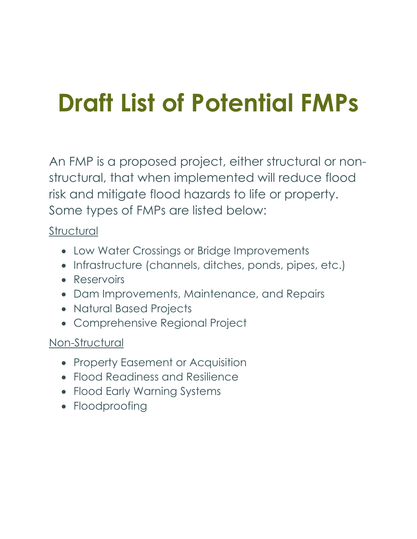# **Draft List of Potential FMPs**

An FMP is a proposed project, either structural or nonstructural, that when implemented will reduce flood risk and mitigate flood hazards to life or property. Some types of FMPs are listed below:

#### **Structural**

- Low Water Crossings or Bridge Improvements
- Infrastructure (channels, ditches, ponds, pipes, etc.)
- Reservoirs
- Dam Improvements, Maintenance, and Repairs
- Natural Based Projects
- Comprehensive Regional Project

#### Non-Structural

- Property Easement or Acquisition
- Flood Readiness and Resilience
- Flood Early Warning Systems
- Floodproofing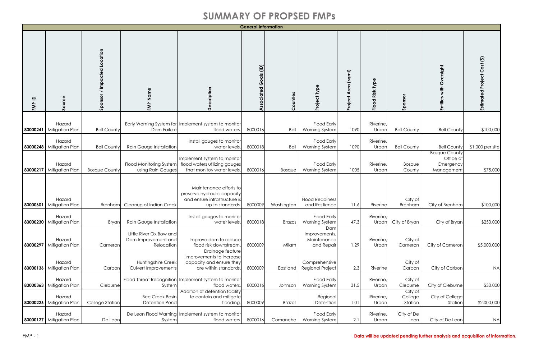|                     |                                    |                             |                                                              |                                                                                                           | <b>General Information</b>           |               |                                                   |                                    |                          |                               |                                                              |                             |
|---------------------|------------------------------------|-----------------------------|--------------------------------------------------------------|-----------------------------------------------------------------------------------------------------------|--------------------------------------|---------------|---------------------------------------------------|------------------------------------|--------------------------|-------------------------------|--------------------------------------------------------------|-----------------------------|
| $\mathbf{a}$<br>FMP | Source                             | Sponsor / Impacted Location | FMP Name                                                     | Description                                                                                               | $\widehat{E}$<br>Goals<br>Associated | Counties      | Project Type                                      | (sqmi)<br>$\sigma$<br>ই<br>Project | Type<br>Risk<br>Flood    | Sponsor                       | Entities with Oversight                                      | Estimated Project Cost (\$) |
|                     | Hazard<br>83000241 Mitigation Plan | <b>Bell County</b>          | Dam Failure                                                  | Early Warning System for Implement system to monitor<br>flood waters.                                     | 8000016                              | Bell          | <b>Flood Early</b><br><b>Warning System</b>       | 1090                               | Riverine,<br>Urbar       | <b>Bell County</b>            | <b>Bell County</b>                                           | \$100,000                   |
|                     | Hazard<br>83000248 Mitigation Plan | <b>Bell County</b>          | Rain Gauge Installation                                      | Install gauges to monitor<br>water levels.                                                                | 8000018                              | Bell          | <b>Flood Early</b><br><b>Warning System</b>       | 1090                               | Riverine,<br>Urban       | <b>Bell County</b>            | <b>Bell County</b>                                           | \$1,000 per site            |
| 83000217            | Hazard<br>Mitigation Plan          | <b>Bosque County</b>        | <b>Flood Monitoring System</b><br>using Rain Gauges          | Implement system to monitor<br>flood waters utilizing gauges<br>that monitoy water levels.                | 8000016                              | <b>Bosque</b> | <b>Flood Early</b><br><b>Warning System</b>       | 1005                               | Riverine,<br>Urban       | <b>Bosque</b><br>County       | <b>Bosque County</b><br>Office of<br>Emergency<br>Management | \$75,000                    |
| 83000601            | Hazard<br><b>Mitigation Plan</b>   | <b>Brenham</b>              | Cleanup of Indian Creek                                      | Maintenance efforts to<br>preserve hydraulic capacity<br>and ensure infrastructure is<br>up to standards. | 8000009                              | Washington    | <b>Flood Readiness</b><br>and Resilience          | 11.6                               | Riverine                 | City of<br>Brenham            | City of Brenham                                              | \$100,000                   |
|                     | Hazard<br>83000230 Mitigation Plan | Bryar                       | Rain Gauge Installation                                      | Install gauges to monitor<br>water levels.                                                                | 8000018                              | <b>Brazos</b> | <b>Flood Early</b><br><b>Warning System</b>       | 47.3                               | Riverine<br>Urban        | City of Bryan                 | City of Bryan                                                | \$250,000                   |
|                     | Hazard<br>83000297 Mitigation Plan | Cameron                     | Little River Ox Bow and<br>Dam Improvement and<br>Relocation | Improve dam to reduce<br>flood risk downstream                                                            | 8000009                              | Milam         | Dam<br>Improvements,<br>Maintenance<br>and Repair | 1.29                               | Riverine,<br>Urban       | City of<br>Cameron            | City of Cameron                                              | \$5,000,000                 |
|                     | Hazard<br>83000136 Mitigation Plan | Carbon                      | Huntingshire Creek<br>Culvert Improvements                   | Drainage feature<br>improvements to increase<br>capacity and ensure they<br>are within standards.         | 8000009                              | Eastland      | Comprehensive<br><b>Regional Project</b>          | 2.3                                | Riverine                 | City of<br>Carbon             | City of Carbon                                               | <b>NA</b>                   |
|                     | Hazard<br>83000363 Mitigation Plan | Cleburne                    | System                                                       | Flood Threat Recognition Implement system to monitor<br>flood waters.                                     | 8000016                              | Johnson       | <b>Flood Early</b><br><b>Warning System</b>       | 31.5                               | <b>Riverine</b><br>Urban | City of<br>Cleburne           | City of Cleburne                                             | \$30,000                    |
|                     | Hazard<br>83000226 Mitigation Plan | College Station             | <b>Bee Creek Basin</b><br>Detention Pond                     | Addition of detention facility<br>to contain and mitigate<br>flooding.                                    | 8000009                              | <b>Brazos</b> | Regional<br>Detention                             | 1.01                               | <b>Riverine</b><br>Urban | City of<br>College<br>Station | City of College<br>Station                                   | \$2,000,000                 |
|                     | Hazard<br>83000127 Mitigation Plan | De Leon                     | System                                                       | De Leon Flood Warning Implement system to monitor<br>flood waters.                                        | 8000016                              | Comanche      | <b>Flood Early</b><br><b>Warning System</b>       | 2.1                                | Riverine<br>Urban        | City of De<br>Leon            | City of De Leon                                              | <b>NA</b>                   |

#### FMP - 1 **Data will be updated pending further analysis and acquisition of information.**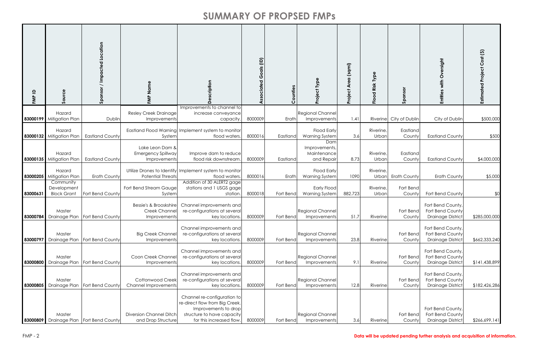| $\mathbf{a}$<br>FMP | Source                                         | Location<br>Impacted<br>Sponsor                | FMP Name                                                      | စ်                                                                                                                                              | Goals (ID)<br>ssociated | Counties  | Type<br><b>Project</b>                            | (sqmi)<br><b>Are</b><br>Project | Type<br>Risk<br>Flood    | Sponsor                 | ersight<br>ò<br>with<br>Entities                                  | Estimated Project Cost (\$) |
|---------------------|------------------------------------------------|------------------------------------------------|---------------------------------------------------------------|-------------------------------------------------------------------------------------------------------------------------------------------------|-------------------------|-----------|---------------------------------------------------|---------------------------------|--------------------------|-------------------------|-------------------------------------------------------------------|-----------------------------|
|                     | Hazard<br>83000199 Mitigation Plan             | Dublin                                         | <b>Resley Creek Drainage</b><br>Improvements                  | Improvements to channel to<br>increase conveyance<br>capacity.                                                                                  | 8000009                 | Erath     | <b>Regional Channel</b><br>Improvements           | 1.41                            |                          | Riverine City of Dublin | City of Dublin                                                    | \$500,000                   |
|                     | Hazard<br>83000132 Mitigation Plan             | <b>Eastland County</b>                         | System                                                        | Eastland Flood Warning Implement system to monitor<br>flood waters.                                                                             | 8000016                 | Eastland  | <b>Flood Early</b><br><b>Warning System</b>       | 3.6                             | <b>Riverine</b><br>Urbar | Eastland<br>County      | <b>Eastland County</b>                                            | \$500                       |
|                     | Hazard<br>83000135 Mitigation Plan             | <b>Eastland County</b>                         | Lake Leon Dam &<br>Emergency Spillway<br>Improvements         | Improve dam to reduce<br>flood risk downstream                                                                                                  | 8000009                 | Eastland  | Dam<br>Improvements,<br>Maintenance<br>and Repair | 8.73                            | <b>Riverine</b><br>Urbar | Eastland<br>County      | <b>Eastland County</b>                                            | \$4,000,000                 |
|                     | Hazard<br>83000205 Mitigation Plan             | <b>Erath County</b>                            | <b>Potential Threats</b>                                      | Utilize Drones to Identify Implement system to monitor<br>flood waters.                                                                         | 8000016                 | Erath     | <b>Flood Early</b><br><b>Warning System</b>       | 1090                            | <b>Riverine</b><br>Urbar | <b>Erath County</b>     | <b>Erath County</b>                                               | \$5,000                     |
| 83000631            | Community<br>Development<br><b>Block Grant</b> | Fort Bend County                               | Fort Bend Stream Gauge<br>System                              | Addition of 30 ALERT2 gage<br>stations and 1 USGS gage<br>station.                                                                              | 8000018                 | Fort Bend | Early Flood<br><b>Warning System</b>              | 882.723                         | <b>Riverine</b><br>Urbar | Fort Bend<br>County     | Fort Bend County                                                  | \$0                         |
|                     | Master                                         | <b>83000784</b> Drainage Plan Fort Bend County | Bessie's & Brooskshire<br><b>Creek Channe</b><br>Improvements | Channel improvements and<br>re-configurations at several<br>key locations.                                                                      | 8000009                 | Fort Bend | <b>Regional Channel</b><br>Improvements           | 51.7                            | Riverinel                | Fort Bend<br>County     | Fort Bend County,<br>Fort Bend County<br><b>Drainage District</b> | \$285,000,000               |
|                     | Master<br>83000797 Drainage Plan               | Fort Bend County                               | <b>Big Creek Channel</b><br>Improvements                      | Channel improvements and<br>re-configurations at several<br>key locations.                                                                      | 8000009                 | Fort Bend | <b>Regional Channel</b><br>Improvements           | 23.8                            | Riverine                 | Fort Bend<br>County     | Fort Bend County<br>Fort Bend County<br><b>Drainage District</b>  | \$662,333,240               |
|                     | Master<br>83000800 Drainage Plan               | Fort Bend County                               | Coon Creek Channel<br>Improvements                            | Channel improvements and<br>re-configurations at several<br>key locations.                                                                      | 8000009                 | Fort Bend | <b>Regional Channel</b><br>Improvements           | 9.1                             | Riverine                 | Fort Bend<br>County     | Fort Bend County,<br>Fort Bend County<br><b>Drainage District</b> | \$141,438,899               |
| 83000805            | Master<br>Drainage Plan                        | Fort Bend County                               | <b>Cottonwood Creek</b><br><b>Channel Improvements</b>        | Channel improvements and<br>re-configurations at several<br>key locations.                                                                      | 8000009                 | Fort Bend | <b>Regional Channel</b><br>Improvements           | 12.8                            | Riverine                 | Fort Bend<br>County     | Fort Bend County,<br>Fort Bend County<br><b>Drainage District</b> | \$182,426,286               |
|                     | Master<br>83000809 Drainage Plan               | Fort Bend County                               | <b>Diversion Channel Ditch</b><br>and Drop Structure          | Channel re-configuration to<br>re-direct flow from Big Creek.<br>Improvements to drop<br>structure to have capacity<br>for this increased flow. | 8000009                 | Fort Bend | <b>Regional Channel</b><br>Improvements           | 3.6                             | Riverine                 | Fort Bend<br>County     | Fort Bend County,<br>Fort Bend County<br><b>Drainage District</b> | \$266,699,141               |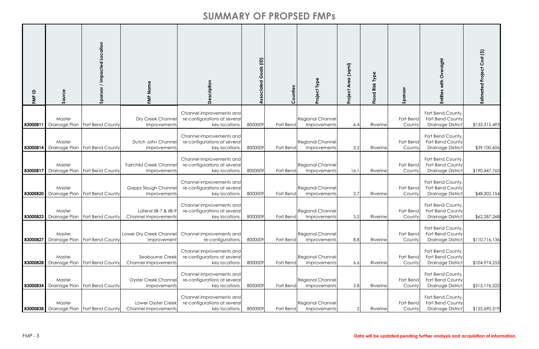| $\mathbf{a}$<br>FMP | Source                           | Location<br>Impacted<br>Sponsor           | Name<br>FMP                                          | cription                                                                   | ociated Goals (ID) | ounties   | Project Type                            | (sqmi)<br>Area<br>Project | Type<br>Risk<br>$\sigma$<br>$\circ$<br>$\frac{8}{2}$ | nsoi<br>Spo         | sight<br>Entitie                                                  | Estimated Project Cost (\$) |
|---------------------|----------------------------------|-------------------------------------------|------------------------------------------------------|----------------------------------------------------------------------------|--------------------|-----------|-----------------------------------------|---------------------------|------------------------------------------------------|---------------------|-------------------------------------------------------------------|-----------------------------|
| 83000811            | Master<br>Drainage Plan          | Fort Bend County                          | Dry Creek Channel<br>Improvements                    | Channel improvements and<br>re-configurations at several<br>key locations. | 8000009            | Fort Bend | <b>Regional Channel</b><br>Improvements | 6.4                       | Riverine                                             | Fort Bend<br>County | Fort Bend County,<br>Fort Bend County<br><b>Drainage District</b> | \$133,315,493               |
|                     | Master<br>83000814 Drainage Plan | Fort Bend County                          | Dutch John Channe<br>Improvements                    | Channel improvements and<br>re-configurations at several<br>key locations. | 8000009            | Fort Bend | Regional Channel<br>Improvements        | 3.2                       | Riverine                                             | Fort Bend<br>County | Fort Bend County,<br>Fort Bend County<br><b>Drainage District</b> | \$39,100,606                |
|                     | Master<br>83000817 Drainage Plan | Fort Bend County                          | <b>Fairchild Creek Channe</b><br>Improvements        | Channel improvements and<br>re-configurations at several<br>key locations. | 8000009            | Fort Bend | Regional Channel<br>Improvements        | 16.1                      | Riverine                                             | Fort Bend<br>County | Fort Bend County,<br>Fort Bend County<br><b>Drainage District</b> | \$190,447,765               |
|                     | Master<br>83000820 Drainage Plan | Fort Bend County                          | <b>Gapps Slough Channel</b><br>Improvements          | Channel improvements and<br>re-configurations at several<br>key locations. | 8000009            | Fort Bend | Regional Channel<br>Improvements        | 2.7                       | Riverine                                             | Fort Bend<br>County | Fort Bend County,<br>Fort Bend County<br><b>Drainage District</b> | \$48,302,154                |
|                     | Master                           | 83000823 Drainage Plan   Fort Bend County | Lateral IIB-7 & IIB-9<br><b>Channel Improvements</b> | Channel improvements and<br>re-configurations at several<br>key locations. | 8000009            | Fort Bend | Regional Channel<br>Improvements        | 5.2                       | Riverine                                             | Fort Bend<br>County | Fort Bend County,<br>Fort Bend County<br>Drainage District        | \$62,287,268                |
| 83000827            | Master<br>Drainage Plan          | Fort Bend County                          | Lower Dry Creek Channel<br>Improvement               | Channel improvements and<br>re-configurations.                             | 8000009            | Fort Benc | Regional Channel<br>Improvements        | 8.8                       | Riverine                                             | Fort Bend<br>County | Fort Bend County,<br>Fort Bend County<br><b>Drainage District</b> | \$110,716,136               |
| 83000828            | Master<br>Drainage Plan          | Fort Bend County                          | Seabourne Creek<br><b>Channel Improvements</b>       | Channel improvements and<br>re-configurations at several<br>key locations. | 8000009            | Fort Bend | <b>Regional Channel</b><br>Improvements | 6.6                       | Riverine                                             | Fort Bend<br>County | Fort Bend County,<br>Fort Bend County<br><b>Drainage District</b> | \$104,974,253               |
| 83000834            | Master<br>Drainage Plan          | Fort Bend County                          | <b>Oyster Creek Channel</b><br>Improvements          | Channel improvements and<br>re-configurations at several<br>key locations. | 8000009            | Fort Bend | <b>Regional Channel</b><br>Improvements | 5.8                       | Riverine                                             | Fort Bend<br>County | Fort Bend County,<br>Fort Bend County<br><b>Drainage District</b> | \$315,176,322               |
|                     | Master<br>83000838 Drainage Plan | Fort Bend County                          | Lower Oyster Creek<br><b>Channel Improvements</b>    | Channel improvements and<br>re-configurations at several<br>key locations. | 8000009            | Fort Bend | Regional Channel<br>Improvements        |                           | Riverine                                             | Fort Bend<br>County | Fort Bend County,<br>Fort Bend County<br><b>Drainage District</b> | \$125,690,319               |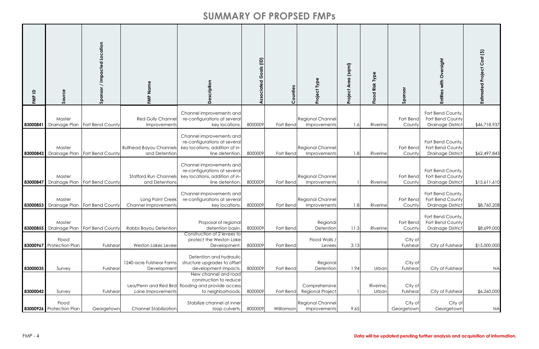| $\mathbf{a}$<br>FMP | Source                                      | Sponsor / Impacted Location      | FMP Name                                          | cription<br>$\bigcap$                                                                                                                                                                  | Goals (ID)<br>ciated | ounties                 | Project Type                                         | (sqmi)<br>Area<br>Project | Type<br>Risk<br>Flood | Sponsor                           | sight<br>with<br>Entitie                                          | Estimated Project Cost (\$) |
|---------------------|---------------------------------------------|----------------------------------|---------------------------------------------------|----------------------------------------------------------------------------------------------------------------------------------------------------------------------------------------|----------------------|-------------------------|------------------------------------------------------|---------------------------|-----------------------|-----------------------------------|-------------------------------------------------------------------|-----------------------------|
| 83000841            | Master<br>Drainage Plan                     | Fort Bend County                 | Red Gully Channel<br>Improvements                 | Channel improvements and<br>re-configurations at several<br>key locations.                                                                                                             | 8000009              | Fort Bend               | <b>Regional Channel</b><br>Improvements              | 1.6                       | Riverine              | Fort Bend<br>County               | Fort Bend County,<br>Fort Bend County<br><b>Drainage District</b> | \$46,718,937                |
| 83000843            | Master<br><b>Drainage Plan</b>              | Fort Bend County                 | <b>Bullhead Bayou Channels</b><br>and Detention   | Channel improvements and<br>re-configurations at several<br>key locations, addition of in-<br>line detention.                                                                          | 8000009              | Fort Bend               | <b>Regional Channel</b><br>Improvements              | 1.8                       | <b>Riverine</b>       | Fort Bend<br>County               | Fort Bend County,<br>Fort Bend County<br><b>Drainage District</b> | \$62,497,843                |
| 83000847            | Master                                      | Drainage Plan   Fort Bend County | <b>Stafford Run Channels</b><br>and Detentions    | Channel improvements and<br>re-configurations at several<br>key locations, addition of in-<br>line detention.                                                                          | 8000009              | Fort Bend               | Regional Channel<br>Improvements                     |                           | Riverine              | Fort Bend<br>Countyl              | Fort Bend County,<br>Fort Bend County<br><b>Drainage District</b> | \$15,611,610                |
|                     | Master<br>83000853 Drainage Plan            | Fort Bend County                 | Long Point Creek<br><b>Channel Improvements</b>   | Channel improvements and<br>re-configurations at several<br>key locations.                                                                                                             | 8000009              | Fort Bend               | <b>Regional Channel</b><br>Improvements              | 1.8                       | Riverine              | Fort Bend<br>County               | Fort Bend County,<br>Fort Bend County<br><b>Drainage District</b> | \$8,760,208                 |
|                     | Master<br>83000855 Drainage Plan            | Fort Bend County                 | Rabbs Bayou Detention                             | Proposal of regional<br>detention basin.<br>Construction of 2 levees to                                                                                                                | 8000009              | Fort Bend               | Regional<br>Detention                                | 11.3                      | Riverine              | Fort Bend<br>County               | Fort Bend County,<br>Fort Bend County<br><b>Drainage District</b> | \$8,699,000                 |
|                     | Flood<br>83000967 Protection Plan           | Fulshear                         | Weston Lakes Levee                                | protect the Weston Lake<br>Development.                                                                                                                                                | 8000009              | Fort Bend               | Flood Walls /<br>Levees                              | 3.13                      |                       | City of<br>Fulshear               | City of Fulshear                                                  | \$15,000,000                |
| 83000035            | Survey                                      | Fulshear                         | 1240-acre Fulshear Farms<br>Development           | Detention and hydraulic<br>structure upgrades to offset<br>development impacts.<br>New channel and road<br>construction to reduce<br>Lea/Penn and Red Bird flooding and provide access | 8000009              | Fort Bend               | Regional<br>Detention<br>Comprehensive               | 1.94                      | Urban<br>Riverine,    | City of<br>Fulshear<br>City of    | City of Fulshear                                                  | <b>NA</b>                   |
| 83000042            | Survey<br>Flood<br>83000926 Protection Plan | Fulshear<br>Georgetown           | Lane Improvements<br><b>Channel Stabilization</b> | to neighborhoods.<br>Stabilize channel at inner<br>loop culverts.                                                                                                                      | 8000009<br>8000009   | Fort Bend<br>Williamsor | Regional Project<br>Regional Channel<br>Improvements | 9.65                      | Urban                 | Fulshear<br>City of<br>Georgetown | City of Fulshear<br>City of<br>Georgetown                         | \$6,260,000<br><b>NA</b>    |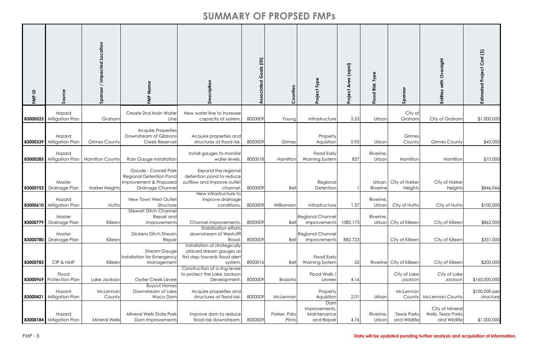| $\mathbf{a}$<br>FMP | Source                                  | Sponsor / Impacted Location | FMP Name                                                                                             | escription<br>$\Omega$                                                                                            | $\widehat{E}$<br>Goals<br>Associated | Counties              | Type<br><b>Project</b>                            | (sqmi)<br><b>Are</b><br>Project | Type<br>Risk <sup>-</sup><br>Flood | Sponsor                            | ersight<br>$\delta$<br>with<br>Entities               | Estimated Project Cost (\$) |
|---------------------|-----------------------------------------|-----------------------------|------------------------------------------------------------------------------------------------------|-------------------------------------------------------------------------------------------------------------------|--------------------------------------|-----------------------|---------------------------------------------------|---------------------------------|------------------------------------|------------------------------------|-------------------------------------------------------|-----------------------------|
|                     | Hazard<br>83000523 Mitigation Plan      | Graham                      | Create 2nd Main Water<br>Line                                                                        | New water line to increase<br>capacity of system                                                                  | 8000009                              | Young                 | Infrastructure                                    | 5.53                            | Urban                              | City of<br>Graham                  | City of Graham                                        | \$1,000,000                 |
|                     | Hazard<br>83000339 Mitigation Plan      | <b>Grimes County</b>        | <b>Acquire Properties</b><br>Downstream of Gibbons<br>Creek Reservoir                                | Acquire properties and<br>structures at flood risk                                                                | 8000009                              | Grimes                | Property<br>Aquisition                            | 0.95                            | Urban                              | Grimes<br>County                   | <b>Grimes County</b>                                  | \$45,000                    |
|                     | Hazard<br>83000285 Mitigation Plan      | <b>Hamilton County</b>      | Rain Gauge Installation                                                                              | Install gauges to monitor<br>water levels                                                                         | 8000018                              | Hamilton              | <b>Flood Early</b><br><b>Warning System</b>       | 837                             | Riverine<br>Urban                  | Hamilton                           | Hamilton                                              | \$10,000                    |
|                     | Master<br>83000752 Drainage Plan        | <b>Harker Heights</b>       | Goode - Connell Park<br><b>Regional Detention Pond</b><br>Improvement & Proposed<br>Drainage Channel | Expand the regional<br>detention pond to reduce<br>outflow and improve outlet<br>channel<br>New infrastructure to | 8000009                              | Bell                  | Regional<br>Detention                             |                                 | Urban,<br>Riverine                 | City of Harker<br>Heights          | City of Harker<br>Heights                             | \$846,066                   |
|                     | Hazard<br>83000610 Mitigation Plan      | Hutto                       | New Town West Outlet<br>Structure                                                                    | improve drainage<br>conditions                                                                                    | 8000009                              | Williamson            | Infrastructure                                    | 1.37                            | <b>Riverine</b><br>Urban           | City of Hutto                      | City of Hutto                                         | \$100,000                   |
|                     | Master<br>83000779 Drainage Plan        | Killeen                     | <b>Stewart Ditch Channe</b><br>Repair and<br>Improvements                                            | Channel improvements<br><b>Stabilization efforts</b>                                                              | 8000009                              | Bell                  | <b>Regional Channel</b><br>Improvements           | 1082.173                        | Riverine,                          | Urban City of Killeen              | City of Killeen                                       | \$862,000                   |
|                     | Master<br><b>83000780</b> Drainage Plan | Killeer                     | <b>Dickens Ditch Stream</b><br>Repair                                                                | downstream of Westcliff<br>Road.                                                                                  | 8000009                              | Bell                  | <b>Regional Channel</b><br>Improvements           | 882.723                         |                                    | City of Killeen                    | City of Killeen                                       | \$351,000                   |
| 83000783            | CIP & HMP                               | Killeer                     | <b>Stream Gauge</b><br>Installation for Emergency<br>Management                                      | Installation of strategically<br>placed stream gauges as<br>first step towards flood alert<br>system              | 8000016                              | Bell                  | <b>Flood Early</b><br><b>Warning System</b>       | 52                              |                                    | Riverine City of Killeen           | City of Killeen                                       | \$200,000                   |
|                     | Flood<br>83000969 Protection Plan       | Lake Jacksor                | Oyster Creek Levee                                                                                   | Construction of a ring levee<br>to protect the Lake Jackson<br>Development                                        | 8000009                              | <b>Brazoria</b>       | Flood Walls /<br>Levees                           | 4.16                            |                                    | City of Lake<br>Jackson            | City of Lake<br>Jacksor                               | \$160,000,000               |
|                     | Hazard<br>83000421 Mitigation Plan      | McLennan<br>County          | <b>Buyout Homes</b><br>Downstream of Lake<br>Waco Dam                                                | Acquire properties and<br>structures at flood risk                                                                | 8000009                              | McLennan              | Property<br>Aquisition                            | 2.01                            | Urban                              | McLennan<br>County                 | <b>McLennan County</b>                                | \$100,000 per<br>structure  |
|                     | Hazard<br>83000184 Mitigation Plan      | <b>Mineral Wells</b>        | Mineral Wells State Park<br>Dam Improvements                                                         | Improve dam to reduce<br>flood risk downstream.                                                                   | 8000009                              | Parker, Palo<br>Pinto | Dam<br>Improvements,<br>Maintenance<br>and Repair | 4.76                            | Riverine<br>Urban                  | <b>Texas Parks</b><br>and Wildlife | City of Mineral<br>Wells, Texas Parks<br>and Wildlife | \$1,000,000                 |

#### FMP - 5 **Data will be updated pending further analysis and acquisition of information.**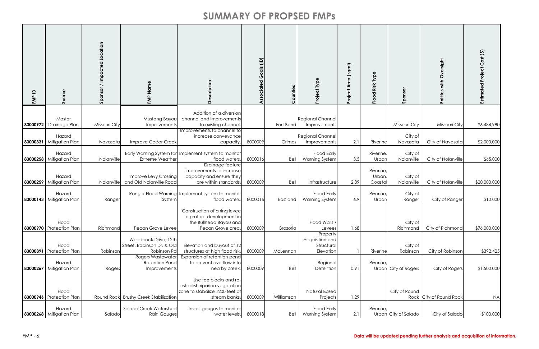| FMP ID   | Source                             | Location<br>Impacted<br>$\overline{\phantom{0}}$<br>Sponsor | FMP Name                                                          | cription<br>$\Omega$                                                                                       | $\widehat{e}$<br>dis<br>Ō<br>C<br>ciated | Counties        | Project Type                                           | (sqmi)<br>Area<br>Project | Type<br>Risk<br>Flood          | Sponsor               | sight<br>with<br>Entitie | Estimated Project Cost (\$) |
|----------|------------------------------------|-------------------------------------------------------------|-------------------------------------------------------------------|------------------------------------------------------------------------------------------------------------|------------------------------------------|-----------------|--------------------------------------------------------|---------------------------|--------------------------------|-----------------------|--------------------------|-----------------------------|
|          |                                    |                                                             |                                                                   | Addition of a diversion                                                                                    |                                          |                 |                                                        |                           |                                |                       |                          |                             |
|          | Master<br>83000972 Drainage Plan   | Missouri City                                               | Mustang Bayou<br>Improvements                                     | channel and improvements<br>to existing channel.                                                           |                                          | Fort Bend       | <b>Regional Channel</b><br>Improvements                |                           |                                | Missouri City         | Missouri City            | \$6,484,980                 |
|          | Hazard<br>83000331 Mitigation Plan | Navasota                                                    | Improve Cedar Creek                                               | Improvements to channel to<br>increase conveyance<br>capacity.                                             | 8000009                                  | Grimes          | <b>Regional Channel</b><br>Improvements                | 2.1                       | Riverine                       | City of<br>Navasotc   | City of Navasota         | \$2,000,000                 |
|          | Hazard<br>83000258 Mitigation Plan | Nolanville                                                  | <b>Extreme Weather</b>                                            | Early Warning System for Implement system to monitor<br>flood waters.                                      | 8000016                                  | Bell            | <b>Flood Early</b><br><b>Warning System</b>            | 3.5                       | Riverine,<br>Urban             | City of<br>Nolanville | City of Nolanville       | \$65,000                    |
|          | Hazard<br>83000259 Mitigation Plan | Nolanville                                                  | Improve Levy Crossing<br>and Old Nolanville Road                  | Drainage feature<br>improvements to increase<br>capacity and ensure they<br>are within standards.          | 8000009                                  | Bell            | Infrastructure                                         | 2.89                      | Riverine,<br>Urban,<br>Coastal | City of<br>Nolanville | City of Nolanville       | \$20,000,000                |
|          | Hazard<br>83000143 Mitigation Plan | Ranger                                                      | System                                                            | Ranger Flood Warning Implement system to monitor<br>flood waters.                                          | 8000016                                  | Eastland        | <b>Flood Early</b><br><b>Warning System</b>            | 6.9                       | Riverine,<br>Urban             | City of<br>Ranger     | City of Ranger           | \$10,000                    |
|          | Flood<br>83000970 Protection Plan  | Richmond                                                    | Pecan Grove Levee                                                 | Construction of a ring levee<br>to protect development in<br>the Bullhead Bayou and<br>Pecan Grove area.   | 8000009                                  | <b>Brazoria</b> | Flood Walls /<br>Levees                                | 1.68                      |                                | City of<br>Richmond   | City of Richmond         | \$76,000,000                |
| 83000891 | Flood<br><b>Protection Plan</b>    | Robinson                                                    | Woodcock Drive, 12th<br>Street, Robinson Dr, & Old<br>Robinson Ro | Elevation and buyout of 12<br>structures at high flood risk.                                               | 8000009                                  | McLennan        | Property<br>Acquisition and<br>Structural<br>Elevation |                           | Riverine                       | City of<br>Robinson   | City of Robinson         | \$392,425                   |
|          | Hazard<br>83000267 Mitigation Plan | Rogers                                                      | <b>Rogers Wastewater</b><br><b>Retention Pond</b><br>Improvements | Expansion of retention pond<br>to prevent overflow into<br>nearby creek.                                   | 8000009                                  | Bell            | Regional<br>Detention                                  | 0.91                      | Riverine,                      | Urban City of Rogers  | City of Rogers           | \$1,500,000                 |
|          | Flood<br>83000946 Protection Plan  |                                                             | Round Rock Brushy Creek Stabilization                             | Use toe blocks and re-<br>establish riparian vegetation<br>zone to stabalize 1200 feet of<br>stream banks. | 8000009                                  | Williamson      | <b>Natural Based</b><br>Projects                       | 1.29                      |                                | City of Round<br>Rock | City of Round Rock       | <b>NA</b>                   |
|          | Hazard<br>83000268 Mitigation Plan | Salado                                                      | Salado Creek Watershed<br>Rain Gauges                             | Install gauges to monitor<br>water levels.                                                                 | 8000018                                  | Bell            | <b>Flood Early</b><br><b>Warning System</b>            | 2.1                       | Riverine,                      | Urban City of Salado  | City of Salado           | \$100,000                   |

#### FMP - 6 **Data will be updated pending further analysis and acquisition of information.**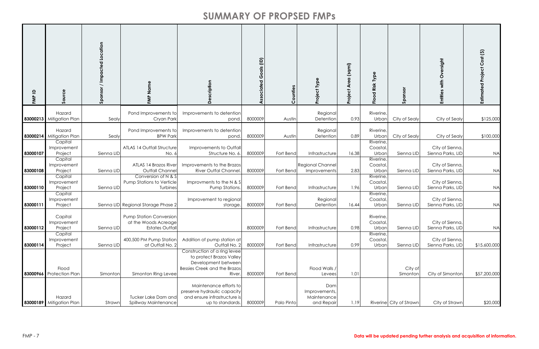| $\mathbf{a}$<br>FMP | Source                                                         | Location<br>mpacte<br>Sponso | $\bar{z}$<br>FMP                                                                 | ption<br>$\Omega$                                                                                                                | $\widehat{E}$<br>odis<br>Ô<br>ciated | Counties         | Project Type                                      | (sqmi)<br>Area<br>も<br>Projeo | Type<br>Risk<br>Flood          | Sponsor                        | sight<br>with<br>Entitie             | Estimated Project Cost (\$) |
|---------------------|----------------------------------------------------------------|------------------------------|----------------------------------------------------------------------------------|----------------------------------------------------------------------------------------------------------------------------------|--------------------------------------|------------------|---------------------------------------------------|-------------------------------|--------------------------------|--------------------------------|--------------------------------------|-----------------------------|
|                     | Hazard                                                         |                              | Pond Improvements to                                                             | Improvements to detention                                                                                                        |                                      |                  | Regional                                          |                               | Riverine,                      |                                |                                      |                             |
|                     | 83000213 Mitigation Plan<br>Hazard<br>83000214 Mitigation Plan | Sealy<br>Sealy               | Cryan Park<br>Pond Improvements to<br><b>BPW Park</b>                            | pond.<br>Improvements to detention<br>pond.                                                                                      | 8000009<br>8000009                   | Austin<br>Austin | Detention<br>Regional<br>Detention                | 0.93<br>0.89                  | Urban<br>Riverine,<br>Urban    | City of Sealy<br>City of Sealy | City of Sealy<br>City of Sealy       | \$125,000<br>\$100,000      |
| 83000107            | Capital<br>Improvement<br>Project                              | Sienna LID                   | ATLAS 14 Outfall Structure<br>No. 6                                              | Improvements to Outfal<br>Structure No. 6.                                                                                       | 8000009                              | Fort Bend        | Infrastructure                                    | 16.38                         | Riverine,<br>Coastal,<br>Urban | Sienna LID                     | City of Sienna,<br>Sienna Parks, LID | <b>NA</b>                   |
| 83000108            | Capital<br>Improvement<br>Project                              | Sienna LID                   | ATLAS 14 Brazos River<br>Outfall Channe<br>Conversion of N & S                   | Improvements to the Brazos<br><b>River Outfal Channel</b>                                                                        | 8000009                              | Fort Bend        | Regional Channel<br>Improvements                  | 2.83                          | Riverine,<br>Coastal,<br>Urban | Sienna LID                     | City of Sienna,<br>Sienna Parks, LID | <b>NA</b>                   |
| 83000110            | Capital<br>Improvement<br>Project                              | Sienna LID                   | Pump Stations to Verticle<br>Turbines                                            | Improvments to the N & S<br>Pump Stations.                                                                                       | 8000009                              | Fort Bend        | Infrastructure                                    | 1.96                          | Riverine,<br>Coastal,<br>Urban | Sienna LID                     | City of Sienna,<br>Sienna Parks, LID | <b>NA</b>                   |
| 83000111            | Capital<br>Improvement<br>Project                              |                              | Sienna LID Regional Storage Phase 2                                              | Improvement to regional<br>storage.                                                                                              | 8000009                              | Fort Bend        | Regional<br>Detention                             | 16.44                         | Riverine,<br>Coastal,<br>Urban | Sienna LID                     | City of Sienna,<br>Sienna Parks, LID | <b>NA</b>                   |
| 83000112            | Capital<br>Improvement<br>Project                              | Sienna LID                   | <b>Pump Station Conversion</b><br>at the Woods Acreage<br><b>Estates Outfall</b> |                                                                                                                                  | 8000009                              | Fort Bend        | Infrastructure                                    | 0.98                          | Riverine,<br>Coastal,<br>Urban | Sienna LID                     | City of Sienna,<br>Sienna Parks, LID | <b>NA</b>                   |
| 83000114            | Capital<br>Improvement<br>Project                              | Sienna LID                   | 400,500 PM Pump Statior<br>at Outfall No. 2                                      | Addition of pump station at<br>Outfall No. 2                                                                                     | 8000009                              | Fort Bend        | Infrastructure                                    | 0.99                          | Riverine,<br>Coastal,<br>Urban | Sienna LID                     | City of Sienna,<br>Sienna Parks, LID | \$15,600,000                |
|                     | Flood<br>83000966 Protection Plan                              | Simonton                     | Simonton Ring Levee                                                              | Construction of a ring levee<br>to protect Brazos Valley<br>Development between<br><b>Bessies Creek and the Brazos</b><br>River. | 8000009                              | Fort Bend        | Flood Walls /<br>Levees                           | 1.01                          |                                | City of<br>Simonton            | City of Simonton                     | \$57,200,000                |
|                     | Hazard<br>83000189 Mitigation Plan                             | Strawn                       | Tucker Lake Dam and<br>Spillway Maintenance                                      | Maintenance efforts to<br>preserve hydraulic capacity<br>and ensure infrastructure is<br>up to standards.                        | 8000009                              | Palo Pinto       | Dam<br>Improvements,<br>Maintenance<br>and Repair | 1.19                          |                                | Riverine City of Strawn        | City of Strawn                       | \$20,000                    |

#### FMP - 7 **Data will be updated pending further analysis and acquisition of information.**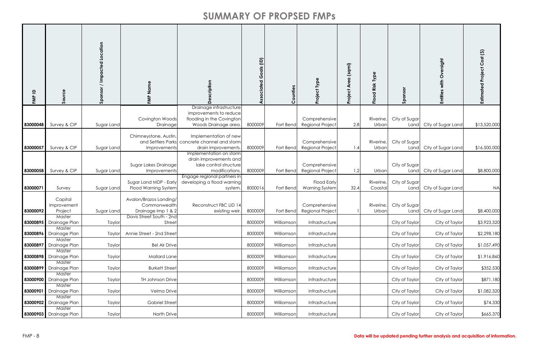| $\mathbf{a}$<br>FMP | Source                           | nottion<br>Sponse | FMP Nam                                               | ption                                                              | ociated Goals (ID) | ounties<br>Ŭ | Project Type                                | (sqmi)<br>Area<br>Project | Type<br>Risk<br>Flood | Sponsor               | tdpis<br>റ<br>with<br>Entitie | Estimated Project Cost (\$) |
|---------------------|----------------------------------|-------------------|-------------------------------------------------------|--------------------------------------------------------------------|--------------------|--------------|---------------------------------------------|---------------------------|-----------------------|-----------------------|-------------------------------|-----------------------------|
|                     |                                  |                   |                                                       | Drainage infrastructure<br>improvements to reduce                  |                    |              |                                             |                           |                       |                       |                               |                             |
|                     |                                  |                   | Covington Woods                                       | flooding in the Covington                                          |                    |              | Comprehensive                               |                           | Riverine,             | City of Sugar         |                               |                             |
| 83000048            | Survey & CIP                     | Sugar Land        | Drainage                                              | Woods Drainage area.                                               | 8000009            | Fort Benc    | <b>Regional Project</b>                     | 2.8                       | Urban                 | Land                  | City of Sugar Land            | \$13,520,000                |
|                     |                                  |                   | Chimneystone, Austin,                                 | Implementation of new                                              |                    |              |                                             |                           |                       |                       |                               |                             |
|                     |                                  |                   | and Settlers Parks                                    | concrete channel and storm                                         |                    |              | Comprehensive                               |                           | Riverine,             | City of Sugar         |                               |                             |
| 83000057            | Survey & CIP                     | Sugar Land        | Improvements                                          | drain improvements.<br>Implementation on storm                     | 8000009            | Fort Benc    | <b>Regional Project</b>                     | 1.4                       | Urban                 | Land                  | City of Sugar Land            | \$16,500,000                |
| 83000058            | Survey & CIP                     | Sugar Land        | Sugar Lakes Drainage<br>Improvements                  | drain improvements and<br>lake control structure<br>modifications. | 8000009            | Fort Bend    | Comprehensive<br><b>Regional Project</b>    | 1.2                       | Urban                 | City of Sugar<br>Land | City of Sugar Land            | \$8,800,000                 |
|                     |                                  |                   |                                                       | Engage regional partners in                                        |                    |              |                                             |                           |                       |                       |                               |                             |
| 83000071            | Survey                           | Sugar Land        | Sugar Land MDP - Early<br><b>Flood Warning System</b> | developing a flood warning<br>system.                              | 800001             | Fort Bend    | <b>Flood Early</b><br><b>Warning System</b> | 32.4                      | Riverine,<br>Coastal  | City of Sugar<br>Land | City of Sugar Land            | <b>NA</b>                   |
|                     |                                  |                   |                                                       |                                                                    |                    |              |                                             |                           |                       |                       |                               |                             |
|                     | Capital                          |                   | Avalon/Brazos Landing/                                |                                                                    |                    |              |                                             |                           |                       |                       |                               |                             |
|                     | Improvement                      |                   | Commonwealth                                          | Reconstruct FBC LID 14                                             |                    |              | Comprehensive                               |                           | Riverine,             | City of Sugar         |                               |                             |
| 83000092            | Project<br>Master                | Sugar Land        | Drainage Imp 1 & 2<br>Davis Street South - 2nd        | existing weir                                                      | 8000009            | Fort Bend    | Regional Project                            |                           | Urban                 | Land                  | City of Sugar Land            | \$8,400,000                 |
|                     | 83000895 Drainage Plan           | Taylor            | Street                                                |                                                                    | 8000009            | Williamson   | Infrastructure                              |                           |                       | City of Taylor        | City of Taylor                | \$3,923,320                 |
|                     | Master                           |                   |                                                       |                                                                    |                    |              |                                             |                           |                       |                       |                               |                             |
|                     | 83000896 Drainage Plan           | Taylor            | Annie Street - 2nd Street                             |                                                                    | 8000009            | Williamson   | Infrastructure                              |                           |                       | City of Taylor        | City of Taylor                | \$2,298,180                 |
| 83000897            | Master<br><b>Drainage Plan</b>   | Taylor            | <b>Bel Air Drive</b>                                  |                                                                    | 8000009            | Williamsor   | Infrastructure                              |                           |                       | City of Taylor        | City of Taylor                | \$1,057,490                 |
|                     | Master                           |                   |                                                       |                                                                    |                    |              |                                             |                           |                       |                       |                               |                             |
| 83000898            | Drainage Plan                    | Taylor            | <b>Mallard Lane</b>                                   |                                                                    | 8000009            | Williamson   | Infrastructure                              |                           |                       | City of Taylor        | City of Taylor                | \$1,916,860                 |
| 83000899            | Master<br>Drainage Plan          | Taylor            | <b>Burkett Street</b>                                 |                                                                    | 8000009            | Williamson   | Infrastructure                              |                           |                       | City of Taylor        | City of Taylor                | \$352,530                   |
|                     | Master                           |                   |                                                       |                                                                    |                    |              |                                             |                           |                       |                       |                               |                             |
|                     | 83000900 Drainage Plan<br>Master | Taylor            | TH Johnson Drive                                      |                                                                    | 8000009            | Williamson   | Infrastructure                              |                           |                       | City of Taylor        | City of Taylor                | \$871,180                   |
| 83000901            | Drainage Plan                    | Taylor            | Velma Drive                                           |                                                                    | 8000009            | Williamson   | Infrastructure                              |                           |                       | City of Taylor        | City of Taylor                | \$1,082,320                 |
|                     | Master                           |                   |                                                       |                                                                    |                    |              |                                             |                           |                       |                       |                               |                             |
|                     | 83000902 Drainage Plan<br>Master | Taylor            | <b>Gabriel Street</b>                                 |                                                                    | 8000009            | Williamson   | Infrastructure                              |                           |                       | City of Taylor        | City of Taylor                | \$74,330                    |
|                     | 83000903 Drainage Plan           | Taylor            | North Drive                                           |                                                                    | 8000009            | Williamson   | Infrastructure                              |                           |                       | City of Taylor        | City of Taylor                | \$665,370                   |

#### FMP - 8 **Data will be updated pending further analysis and acquisition of information.**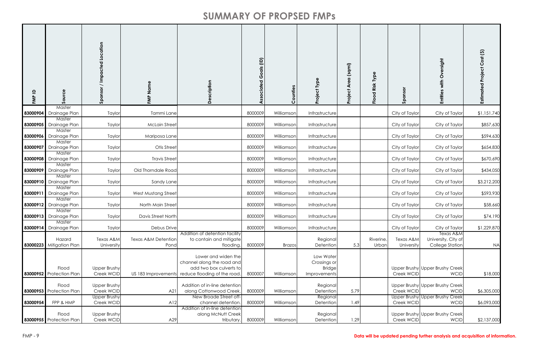| $\mathbf{a}$<br>FMP | Source                                  | Location<br><b>Impacted</b><br>Spons | Name<br>FMP                            | ption<br>$\Omega$                                                                                            | oals (ID)<br>ပ<br>ciated | Counties      | Project Type                                               | (sqmi)<br>Area<br>roject<br>௳ | Type<br>Risk<br>g<br>은 | Sponsor                 | trigis<br>Entiti                               | Estimated Project Cost (\$) |
|---------------------|-----------------------------------------|--------------------------------------|----------------------------------------|--------------------------------------------------------------------------------------------------------------|--------------------------|---------------|------------------------------------------------------------|-------------------------------|------------------------|-------------------------|------------------------------------------------|-----------------------------|
|                     | Master<br>83000904 Drainage Plan        | Taylor                               | Tammi Lane                             |                                                                                                              | 8000009                  | Williamson    | Infrastructure                                             |                               |                        | City of Taylor          | City of Taylor                                 | \$1,151,740                 |
| 83000905            | Master<br>Drainage Plan                 | Taylor                               | <b>McLain Street</b>                   |                                                                                                              | 8000009                  | Williamson    | Infrastructure                                             |                               |                        | City of Taylor          | City of Taylor                                 | \$857,630                   |
|                     | Master                                  |                                      |                                        |                                                                                                              |                          |               |                                                            |                               |                        |                         |                                                |                             |
|                     | <b>83000906</b> Drainage Plan<br>Master | Taylor                               | Mariposa Lane                          |                                                                                                              | 8000009                  | Williamson    | Infrastructure                                             |                               |                        | City of Taylor          | City of Taylor                                 | \$594,630                   |
| 83000907            | Drainage Plan                           | Taylor                               | Otis Street                            |                                                                                                              | 8000009                  | Williamson    | Infrastructure                                             |                               |                        | City of Taylor          | City of Taylor                                 | \$654,830                   |
| 83000908            | Master<br>Drainage Plan                 | Taylor                               | <b>Travis Street</b>                   |                                                                                                              | 8000009                  | Williamson    | Infrastructure                                             |                               |                        | City of Taylor          | City of Taylor                                 | \$670,690                   |
|                     | Master<br><b>83000909</b> Drainage Plan | Taylor                               | Old Thorndale Road                     |                                                                                                              | 8000009                  | Williamson    | Infrastructure                                             |                               |                        | City of Taylor          | City of Taylor                                 | \$434,050                   |
|                     | Master<br>83000910 Drainage Plan        | Taylor                               | Sandy Lane                             |                                                                                                              | 8000009                  | Williamson    | Infrastructure                                             |                               |                        | City of Taylor          | City of Taylor                                 | \$3,212,200                 |
|                     | Master                                  |                                      |                                        |                                                                                                              |                          |               |                                                            |                               |                        |                         |                                                |                             |
| 83000911            | Drainage Plan<br>Master                 | Taylor                               | West Mustang Street                    |                                                                                                              | 8000009                  | Williamson    | Infrastructure                                             |                               |                        | City of Taylor          | City of Taylor                                 | \$593,930                   |
|                     | <b>83000912</b> Drainage Plan           | Taylor                               | North Main Street                      |                                                                                                              | 8000009                  | Williamson    | Infrastructure                                             |                               |                        | City of Taylor          | City of Taylor                                 | \$58,660                    |
|                     | Master<br><b>83000913</b> Drainage Plan | Taylor                               | Davis Street North                     |                                                                                                              | 8000009                  | Williamson    | Infrastructure                                             |                               |                        | City of Taylor          | City of Taylor                                 | \$74,190                    |
|                     | Master                                  |                                      |                                        |                                                                                                              |                          |               |                                                            |                               |                        |                         |                                                |                             |
|                     | 83000914 Drainage Plan                  | Taylor                               | Debus Drive                            | Addition of detention facility                                                                               | 8000009                  | Williamson    | Infrastructure                                             |                               |                        | City of Taylor          | City of Taylor<br>Texas A&M                    | \$1,229,870                 |
|                     | Hazard<br>83000223 Mitigation Plan      | Texas A&M<br>University              | <b>Texas A&amp;M Detention</b><br>Pond | to contain and mitigate<br>flooding.                                                                         | 8000009                  | <b>Brazos</b> | Regional<br>Detention                                      | 5.3                           | Riverine,<br>Urban     | Texas A&M<br>University | University, City of<br><b>College Station</b>  | <b>NA</b>                   |
|                     | Flood<br>83000952 Protection Plan       | <b>Upper Brushy</b><br>Creek WCID    | US 183 Improvements                    | Lower and widen the<br>channel along the road and<br>add two box culverts to<br>reduce flooding of the road. | 8000007                  | Williamson    | Low Water<br>Crossings or<br><b>Bridge</b><br>Improvements |                               |                        | Creek WCID              | Upper Brushy Upper Brushy Creek<br><b>WCID</b> | \$18,000                    |
|                     | Flood<br>83000953 Protection Plan       | <b>Upper Brushy</b><br>Creek WCID    | A21                                    | Addition of in-line detention<br>along Cottonwood Creek.                                                     | 8000009                  | Williamson    | Regional<br>Detention                                      | 5.79                          |                        | Creek WCID              | Upper Brushy Upper Brushy Creek<br><b>WCID</b> | \$6,305,000                 |
| 83000954            | FPP & HMP                               | <b>Upper Brushy</b><br>Creek WCID    | A12                                    | New Broade Street off-<br>channel detention.                                                                 | 8000009                  | Williamson    | Regional<br>Detention                                      | 1.49                          |                        | Creek WCID              | Upper Brushy Upper Brushy Creek<br><b>WCID</b> | \$6,093,000                 |
|                     | Flood<br>83000955 Protection Plan       | <b>Upper Brushy</b><br>Creek WCID    | A29                                    | Addition of in-line detention<br>along McNutt Creek<br>tributary.                                            | 8000009                  | Williamson    | Regional<br>Detention                                      | 1.29                          |                        | Creek WCID              | Upper Brushy Upper Brushy Creek<br><b>WCID</b> | \$2,137,000                 |

#### FMP - 9 **Data will be updated pending further analysis and acquisition of information.**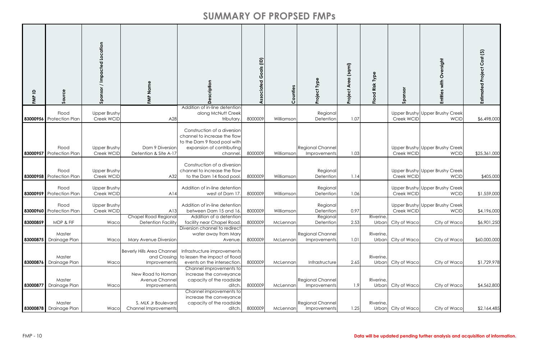| $\mathbf{a}$<br>FMP | Source                                  | / Impacted Location<br>Sponsor    | FMP Name                                                          | ription                                                                                                                             | Goals (ID)<br>ssociated | Counties   | Type<br><b>Project</b>                  | (sqmi)<br>⋖<br>Project | Risk Typ<br>$\overline{c}$<br>흔 | nsor<br>Spol       | with Oversight<br>Entities                     | Estimated Project Cost (\$) |
|---------------------|-----------------------------------------|-----------------------------------|-------------------------------------------------------------------|-------------------------------------------------------------------------------------------------------------------------------------|-------------------------|------------|-----------------------------------------|------------------------|---------------------------------|--------------------|------------------------------------------------|-----------------------------|
|                     | Flood                                   | <b>Upper Brushy</b>               |                                                                   | Addition of in-line detention<br>along McNutt Creek                                                                                 |                         |            | Regional                                |                        |                                 |                    | Upper Brushy Upper Brushy Creek                |                             |
|                     | 83000956 Protection Plan                | Creek WCID                        | A28                                                               | tributary                                                                                                                           | 8000009                 | Williamson | Detention                               | 1.07                   |                                 | Creek WCID         | <b>WCID</b>                                    | \$6,498,000                 |
|                     | Flood<br>83000957 Protection Plan       | <b>Upper Brushy</b><br>Creek WCID | Dam 9 Diversion<br>Detention & Site A-17                          | Construction of a diversion<br>channel to increase the flow<br>to the Dam 9 flood pool with<br>expansion of contributing<br>channel | 8000009                 | Williamson | <b>Regional Channel</b><br>Improvements | 1.03                   |                                 | Creek WCID         | Upper Brushy Upper Brushy Creek<br><b>WCID</b> | \$25,361,000                |
|                     | Flood<br>83000958 Protection Plan       | Upper Brushy<br>Creek WCID        | A32                                                               | Construction of a diversion<br>channel to increase the flow<br>to the Dam 14 flood pool.                                            | 8000009                 | Williamson | Regional<br>Detention                   | 1.14                   |                                 | Creek WCID         | Upper Brushy Upper Brushy Creek<br><b>WCID</b> | \$405,000                   |
|                     | Flood<br>83000959 Protection Plan       | Upper Brushy<br>Creek WCID        | A14                                                               | Addition of in-line detention<br>west of Dam 17                                                                                     | 8000009                 | Williamson | Regional<br>Detention                   | 1.06                   |                                 | Creek WCID         | Upper Brushy Upper Brushy Creek<br><b>WCID</b> | \$1,559,000                 |
|                     | Flood<br>83000960 Protection Plan       | Upper Brushy<br>Creek WCID        | A13                                                               | Addition of in-line detention<br>between Dam 15 and 16                                                                              | 8000009                 | Williamson | Regiona<br>Detention                    | 0.97                   |                                 | Creek WCID         | Upper Brushy Upper Brushy Creek<br><b>WCID</b> | \$4,196,000                 |
| 83000859            | MDP & FIF                               | Waco                              | <b>Chapel Road Regional</b><br><b>Detention Facility</b>          | Addition of a detention<br>facility near Chapel Road                                                                                | 8000009                 | McLennan   | Regional<br>Detention                   | 2.53                   | Riverine,                       | Urban City of Waco | City of Waco                                   | \$6,901,250                 |
|                     | Master<br>83000875 Drainage Plan        | Waco                              | Mary Avenue Diversion                                             | Diversion channel to redirect<br>water away from Mary<br>Avenue.                                                                    | 8000009                 | McLennan   | <b>Regional Channel</b><br>Improvements | 1.01                   | Riverine<br>Urban               | City of Waco       | City of Waco                                   | \$60,000,000                |
|                     | Master<br>83000876 Drainage Plan        | Waco                              | <b>Beverly Hills Area Channel</b><br>and Crossing<br>Improvements | Infrastructure improvements<br>to lessen the impact of flood<br>events on the intersection.                                         | 8000009                 | McLennan   | Infrastructure                          | 2.65                   | Riverine,<br>Urban              | City of Waco       | City of Waco                                   | \$1,729,978                 |
| 83000877            | Master<br>Drainage Plan                 | Waco                              | New Road to Homan<br>Avenue Channel<br>Improvements               | Channel improvements to<br>increase the conveyance<br>capacity of the roadside<br>ditch.                                            | 8000009                 | McLennan   | <b>Regional Channel</b><br>Improvements | 1.9                    | Riverine<br>Urban               | City of Waco       | City of Waco                                   | \$4,562,800                 |
|                     | Master<br><b>83000878</b> Drainage Plan | Waco                              | S. MLK Jr Boulevard<br>Channel Improvements                       | Channel improvements to<br>increase the conveyance<br>capacity of the roadside<br>ditch.                                            | 8000009                 | McLennan   | <b>Regional Channel</b><br>Improvements | 1.25                   | Riverine,<br>Urban              | City of Waco       | City of Waco                                   | \$2,164,485                 |